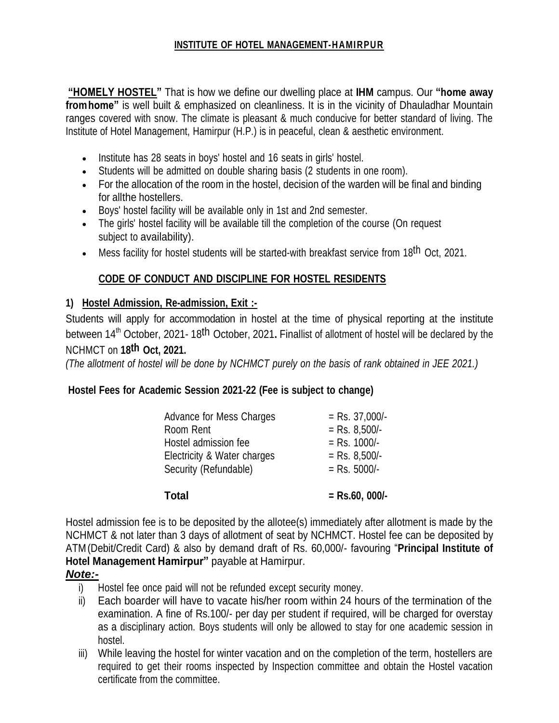### **INSTITUTE OF HOTEL MANAGEMENT-HAMIRPUR**

**"HOMELY HOSTEL"** That is how we define our dwelling place at **IHM** campus. Our **"home away fromhome"** is well built & emphasized on cleanliness. It is in the vicinity of Dhauladhar Mountain ranges covered with snow. The climate is pleasant & much conducive for better standard of living. The Institute of Hotel Management, Hamirpur (H.P.) is in peaceful, clean & aesthetic environment.

- Institute has 28 seats in boys' hostel and 16 seats in girls' hostel.
- Students will be admitted on double sharing basis (2 students in one room).
- For the allocation of the room in the hostel, decision of the warden will be final and binding for allthe hostellers.
- Boys' hostel facility will be available only in 1st and 2nd semester.
- The girls' hostel facility will be available till the completion of the course (On request subject to availability).
- Mess facility for hostel students will be started-with breakfast service from 18<sup>th</sup> Oct, 2021.

## **CODE OF CONDUCT AND DISCIPLINE FOR HOSTEL RESIDENTS**

#### **1) Hostel Admission, Re-admission, Exit :-**

Students will apply for accommodation in hostel at the time of physical reporting at the institute between 14 th October, 2021- 18th October, 2021**.** Finallist of allotment of hostel will be declared by the NCHMCT on **18th Oct, 2021.**

(The allotment of hostel will be done by NCHMCT purely on the basis of rank obtained in JEE 2021.)

### **Hostel Fees for Academic Session 2021-22 (Fee is subject to change)**

| Total                       | $=$ Rs.60, 000/- |
|-----------------------------|------------------|
| Security (Refundable)       | $=$ Rs. 5000/-   |
| Electricity & Water charges | $=$ Rs. 8,500/-  |
| Hostel admission fee        | $=$ Rs. 1000/-   |
| Room Rent                   | $=$ Rs. 8,500/-  |
| Advance for Mess Charges    | $=$ Rs. 37,000/- |

Hostel admission fee is to be deposited by the allotee(s) immediately after allotment is made by the NCHMCT & not later than 3 days of allotment of seat by NCHMCT. Hostel fee can be deposited by ATM (Debit/Credit Card) & also by demand draft of Rs. 60,000/- favouring "**Principal Institute of Hotel Management Hamirpur"** payable at Hamirpur.

### *Note:-*

- i) Hostel fee once paid will not be refunded except security money.
- ii) Each boarder will have to vacate his/her room within 24 hours of the termination of the examination. A fine of Rs.100/- per day per student if required, will be charged for overstay as a disciplinary action. Boys students will only be allowed to stay for one academic session in hostel.
- iii) While leaving the hostel for winter vacation and on the completion of the term, hostellers are required to get their rooms inspected by Inspection committee and obtain the Hostel vacation certificate from the committee.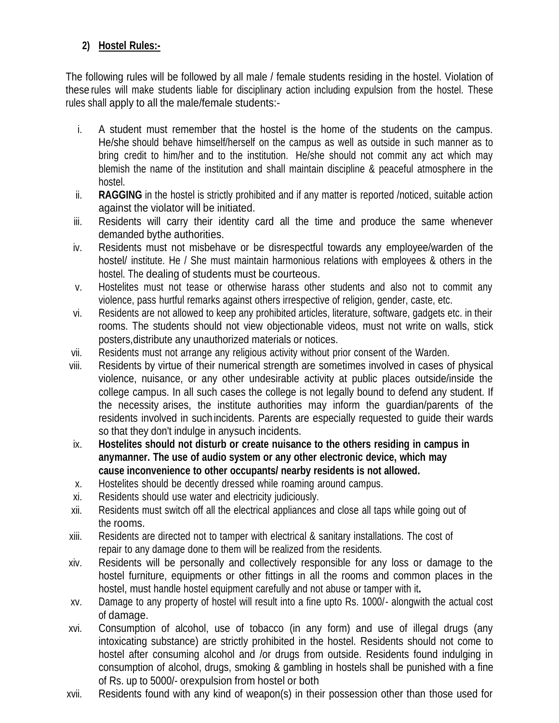# **2) Hostel Rules:-**

The following rules will be followed by all male / female students residing in the hostel. Violation of these rules will make students liable for disciplinary action including expulsion from the hostel. These rules shall apply to all the male/female students:-

- i. A student must remember that the hostel is the home of the students on the campus. He/she should behave himself/herself on the campus as well as outside in such manner as to bring credit to him/her and to the institution. He/she should not commit any act which may blemish the name of the institution and shall maintain discipline & peaceful atmosphere in the hostel.
- ii. **RAGGING** in the hostel is strictly prohibited and if any matter is reported /noticed, suitable action against the violator will be initiated.
- iii. Residents will carry their identity card all the time and produce the same whenever demanded bythe authorities.
- iv. Residents must not misbehave or be disrespectful towards any employee/warden of the hostel/ institute. He / She must maintain harmonious relations with employees & others in the hostel. The dealing of students must be courteous.
- v. Hostelites must not tease or otherwise harass other students and also not to commit any violence, pass hurtful remarks against others irrespective of religion, gender, caste, etc.
- vi. Residents are not allowed to keep any prohibited articles, literature, software, gadgets etc. in their rooms. The students should not view objectionable videos, must not write on walls, stick posters,distribute any unauthorized materials or notices.
- vii. Residents must not arrange any religious activity without prior consent of the Warden.
- viii. Residents by virtue of their numerical strength are sometimes involved in cases of physical violence, nuisance, or any other undesirable activity at public places outside/inside the college campus. In all such cases the college is not legally bound to defend any student. If the necessity arises, the institute authorities may inform the guardian/parents of the residents involved in suchincidents. Parents are especially requested to guide their wards so that they don't indulge in anysuch incidents.
- ix. **Hostelites should not disturb or create nuisance to the others residing in campus in anymanner. The use of audio system or any other electronic device, which may cause inconvenience to other occupants/ nearby residents is not allowed.**
- x. Hostelites should be decently dressed while roaming around campus.
- xi. Residents should use water and electricity judiciously.
- xii. Residents must switch off all the electrical appliances and close all taps while going out of the rooms.
- xiii. Residents are directed not to tamper with electrical & sanitary installations. The cost of repair to any damage done to them will be realized from the residents.
- xiv. Residents will be personally and collectively responsible for any loss or damage to the hostel furniture, equipments or other fittings in all the rooms and common places in the hostel, must handle hostel equipment carefully and not abuse or tamper with it**.**
- xv. Damage to any property of hostel will result into a fine upto Rs. 1000/- alongwith the actual cost of damage.
- xvi. Consumption of alcohol, use of tobacco (in any form) and use of illegal drugs (any intoxicating substance) are strictly prohibited in the hostel. Residents should not come to hostel after consuming alcohol and /or drugs from outside. Residents found indulging in consumption of alcohol, drugs, smoking & gambling in hostels shall be punished with a fine of Rs. up to 5000/- orexpulsion from hostel or both
- xvii. Residents found with any kind of weapon(s) in their possession other than those used for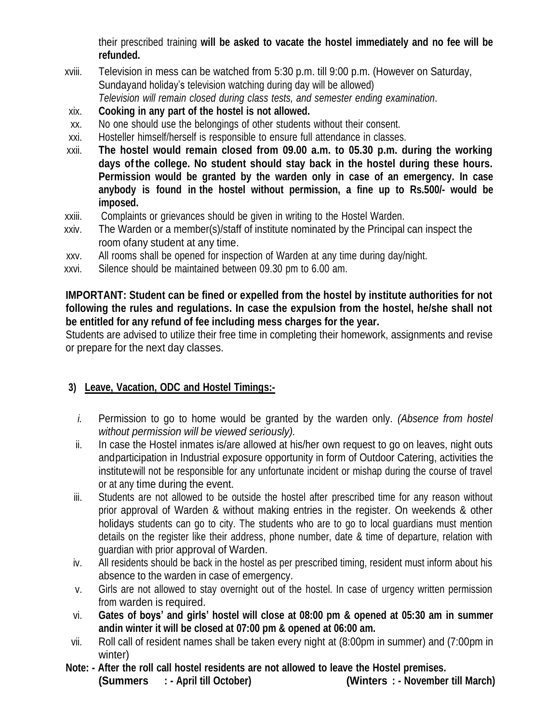their prescribed training **will be asked to vacate the hostel immediately and no fee will be refunded.**

- xviii. Television in mess can be watched from 5:30 p.m. till 9:00 p.m. (However on Saturday, Sundayand holiday's television watching during day will be allowed) *Television will remain closed during class tests, and semester ending examination*.
- xix. **Cooking in any part of the hostel is not allowed.**
- xx. No one should use the belongings of other students without their consent.
- xxi. Hosteller himself/herself is responsible to ensure full attendance in classes.
- xxii. **The hostel would remain closed from 09.00 a.m. to 05.30 p.m. during the working days of the college. No student should stay back in the hostel during these hours. Permission would be granted by the warden only in case of an emergency. In case anybody is found in the hostel without permission, a fine up to Rs.500/- would be imposed.**
- xxiii. Complaints or grievances should be given in writing to the Hostel Warden.
- xxiv. The Warden or a member(s)/staff of institute nominated by the Principal can inspect the room ofany student at any time.
- xxv. All rooms shall be opened for inspection of Warden at any time during day/night.
- xxvi. Silence should be maintained between 09.30 pm to 6.00 am.

**IMPORTANT: Student can be fined or expelled from the hostel by institute authorities for not following the rules and regulations. In case the expulsion from the hostel, he/she shall not be entitled for any refund of fee including mess charges for the year.**

Students are advised to utilize their free time in completing their homework, assignments and revise or prepare for the next day classes.

### **3) Leave, Vacation, ODC and Hostel Timings:-**

- *i.* Permission to go to home would be granted by the warden only. *(Absence from hostel without permission will be viewed seriously).*
- ii. In case the Hostel inmates is/are allowed at his/her own request to go on leaves, night outs andparticipation in Industrial exposure opportunity in form of Outdoor Catering, activities the institutewill not be responsible for any unfortunate incident or mishap during the course of travel or at any time during the event.
- iii. Students are not allowed to be outside the hostel after prescribed time for any reason without prior approval of Warden & without making entries in the register. On weekends & other holidays students can go to city. The students who are to go to local guardians must mention details on the register like their address, phone number, date & time of departure, relation with guardian with prior approval of Warden.
- iv. All residents should be back in the hostel as per prescribed timing, resident must inform about his absence to the warden in case of emergency.
- v. Girls are not allowed to stay overnight out of the hostel. In case of urgency written permission from warden is required.
- vi. **Gates of boys' and girls' hostel will close at 08:00 pm & opened at 05:30 am in summer andin winter it will be closed at 07:00 pm & opened at 06:00 am.**
- vii. Roll call of resident names shall be taken every night at (8:00pm in summer) and (7:00pm in winter)
- **Note: - After the roll call hostel residents are not allowed to leave the Hostel premises. (Summers : - April till October) (Winters : - November till March)**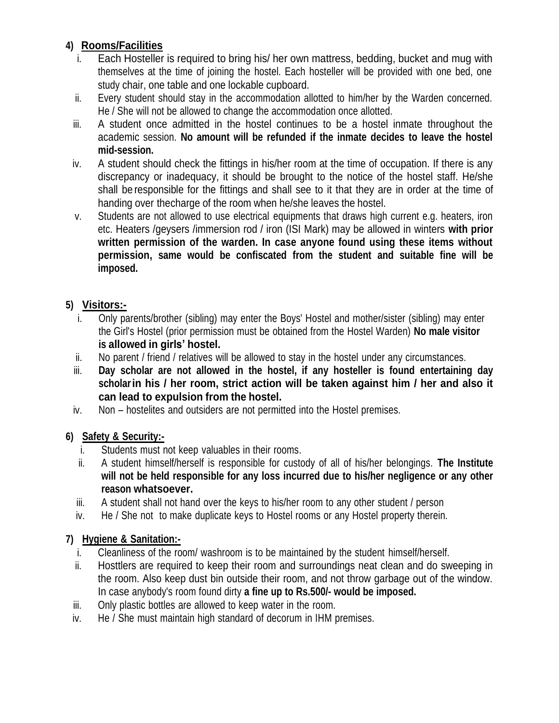# **4) Rooms/Facilities**

- i. Each Hosteller is required to bring his/ her own mattress, bedding, bucket and mug with themselves at the time of joining the hostel. Each hosteller will be provided with one bed, one study chair, one table and one lockable cupboard.
- ii. Every student should stay in the accommodation allotted to him/her by the Warden concerned. He / She will not be allowed to change the accommodation once allotted.
- iii. A student once admitted in the hostel continues to be a hostel inmate throughout the academic session. **No amount will be refunded if the inmate decides to leave the hostel mid-session.**
- iv. A student should check the fittings in his/her room at the time of occupation. If there is any discrepancy or inadequacy, it should be brought to the notice of the hostel staff. He/she shall be responsible for the fittings and shall see to it that they are in order at the time of handing over thecharge of the room when he/she leaves the hostel.
- v. Students are not allowed to use electrical equipments that draws high current e.g. heaters, iron etc. Heaters /geysers /immersion rod / iron (ISI Mark) may be allowed in winters **with prior written permission of the warden. In case anyone found using these items without permission, same would be confiscated from the student and suitable fine will be imposed.**

## **5) Visitors:-**

- i. Only parents/brother (sibling) may enter the Boys' Hostel and mother/sister (sibling) may enter the Girl's Hostel (prior permission must be obtained from the Hostel Warden) **No male visitor is allowed in girls' hostel.**
- ii. No parent / friend / relatives will be allowed to stay in the hostel under any circumstances.
- iii. **Day scholar are not allowed in the hostel, if any hosteller is found entertaining day scholarin his / her room, strict action will be taken against him / her and also it can lead to expulsion from the hostel.**
- iv. Non hostelites and outsiders are not permitted into the Hostel premises.

### **6) Safety & Security:-**

- i. Students must not keep valuables in their rooms.
- ii. A student himself/herself is responsible for custody of all of his/her belongings. **The Institute will not be held responsible for any loss incurred due to his/her negligence or any other reason whatsoever.**
- iii. A student shall not hand over the keys to his/her room to any other student / person
- iv. He / She not to make duplicate keys to Hostel rooms or any Hostel property therein.

### **7) Hygiene & Sanitation:-**

- i. Cleanliness of the room/ washroom is to be maintained by the student himself/herself.
- ii. Hosttlers are required to keep their room and surroundings neat clean and do sweeping in the room. Also keep dust bin outside their room, and not throw garbage out of the window. In case anybody's room found dirty **a fine up to Rs.500/- would be imposed.**
- iii. Only plastic bottles are allowed to keep water in the room.
- iv. He / She must maintain high standard of decorum in IHM premises.